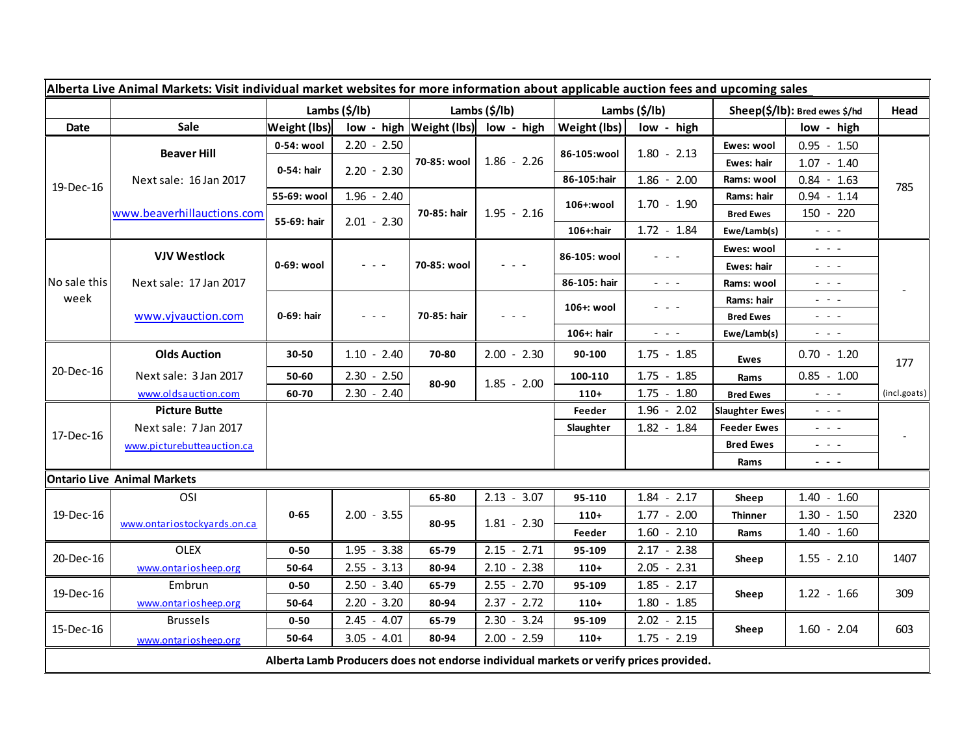| Alberta Live Animal Markets: Visit individual market websites for more information about applicable auction fees and upcoming sales |                                              |                       |               |                       |                                         |                       |                                                                                                                           |                               |                                                                                                                           |              |
|-------------------------------------------------------------------------------------------------------------------------------------|----------------------------------------------|-----------------------|---------------|-----------------------|-----------------------------------------|-----------------------|---------------------------------------------------------------------------------------------------------------------------|-------------------------------|---------------------------------------------------------------------------------------------------------------------------|--------------|
|                                                                                                                                     |                                              | Lambs $(\frac{2}{3})$ |               | Lambs $(\frac{2}{3})$ |                                         | Lambs $(\frac{2}{3})$ |                                                                                                                           | Sheep(\$/lb): Bred ewes \$/hd |                                                                                                                           | Head         |
| Date                                                                                                                                | <b>Sale</b>                                  | <b>Weight (lbs)</b>   |               |                       | $low - high$   Weight (lbs)  low - high |                       | Weight (lbs)<br>low - high                                                                                                |                               | low - high                                                                                                                |              |
| 19-Dec-16                                                                                                                           | <b>Beaver Hill</b><br>Next sale: 16 Jan 2017 | 0-54: wool            | $2.20 - 2.50$ | 70-85: wool           | $1.86 - 2.26$                           |                       | $1.80 - 2.13$                                                                                                             | Ewes: wool                    | $0.95 - 1.50$                                                                                                             | 785          |
|                                                                                                                                     |                                              | 0-54: hair            | $2.20 - 2.30$ |                       |                                         | 86-105:wool           |                                                                                                                           | Ewes: hair                    | $1.07 - 1.40$                                                                                                             |              |
|                                                                                                                                     |                                              |                       |               |                       |                                         | 86-105:hair           | $1.86 - 2.00$                                                                                                             | Rams: wool                    | $0.84 - 1.63$                                                                                                             |              |
|                                                                                                                                     |                                              | 55-69: wool           | $1.96 - 2.40$ | 70-85: hair           | $1.95 - 2.16$                           | 106+:wool             | $1.70 - 1.90$                                                                                                             | Rams: hair                    | $0.94 - 1.14$                                                                                                             |              |
|                                                                                                                                     | www.beaverhillauctions.com                   | 55-69: hair           | $2.01 - 2.30$ |                       |                                         |                       |                                                                                                                           | <b>Bred Ewes</b>              | 150 - 220                                                                                                                 |              |
|                                                                                                                                     |                                              |                       |               |                       |                                         | 106+:hair             | $1.72 - 1.84$                                                                                                             | Ewe/Lamb(s)                   | $\omega_{\rm{max}}$                                                                                                       |              |
| No sale this<br>week                                                                                                                | <b>VJV Westlock</b>                          | 0-69: wool            | - - -         | 70-85: wool           |                                         | 86-105: wool          |                                                                                                                           | Ewes: wool                    | - - -                                                                                                                     | ۰            |
|                                                                                                                                     |                                              |                       |               |                       |                                         |                       |                                                                                                                           | Ewes: hair                    | $  -$                                                                                                                     |              |
|                                                                                                                                     | Next sale: 17 Jan 2017                       |                       |               |                       |                                         | 86-105: hair          | $\frac{1}{2} \left( \frac{1}{2} \right) \left( \frac{1}{2} \right) \left( \frac{1}{2} \right) \left( \frac{1}{2} \right)$ | Rams: wool                    | - - -                                                                                                                     |              |
|                                                                                                                                     | www.vjvauction.com                           | 0-69: hair            | .             | 70-85: hair           |                                         | 106+: wool            |                                                                                                                           | Rams: hair                    | - - -                                                                                                                     |              |
|                                                                                                                                     |                                              |                       |               |                       |                                         |                       |                                                                                                                           | <b>Bred Ewes</b>              | - - -                                                                                                                     |              |
|                                                                                                                                     |                                              |                       |               |                       |                                         | 106+: hair            | $\frac{1}{2} \left( \frac{1}{2} \right) \left( \frac{1}{2} \right) \left( \frac{1}{2} \right) \left( \frac{1}{2} \right)$ | Ewe/Lamb(s)                   | $  -$                                                                                                                     |              |
| 20-Dec-16                                                                                                                           | <b>Olds Auction</b>                          | 30-50                 | $1.10 - 2.40$ | 70-80                 | $2.00 - 2.30$                           | 90-100                | $1.75 - 1.85$                                                                                                             | <b>Ewes</b>                   | $0.70 - 1.20$                                                                                                             | 177          |
|                                                                                                                                     | Next sale: 3 Jan 2017                        | 50-60                 | $2.30 - 2.50$ | 80-90                 | $1.85 - 2.00$                           | 100-110               | $1.75 - 1.85$                                                                                                             | Rams                          | $0.85 - 1.00$                                                                                                             |              |
|                                                                                                                                     | www.oldsauction.com                          | 60-70                 | $2.30 - 2.40$ |                       |                                         | $110+$                | $1.75 - 1.80$                                                                                                             | <b>Bred Ewes</b>              | $\frac{1}{2} \left( \frac{1}{2} \right) \left( \frac{1}{2} \right) \left( \frac{1}{2} \right) \left( \frac{1}{2} \right)$ | (incl.goats) |
| 17-Dec-16                                                                                                                           | <b>Picture Butte</b>                         |                       |               |                       |                                         | Feeder                | $1.96 - 2.02$                                                                                                             | <b>Slaughter Ewes</b>         | - - -                                                                                                                     |              |
|                                                                                                                                     | Next sale: 7 Jan 2017                        |                       |               |                       |                                         | Slaughter             | $1.82 - 1.84$                                                                                                             | <b>Feeder Ewes</b>            | $  -$                                                                                                                     |              |
|                                                                                                                                     | www.picturebutteauction.ca                   |                       |               |                       |                                         |                       |                                                                                                                           | <b>Bred Ewes</b>              | 20202                                                                                                                     |              |
|                                                                                                                                     |                                              |                       |               |                       |                                         |                       |                                                                                                                           | Rams                          | - - -                                                                                                                     |              |
|                                                                                                                                     | <b>Ontario Live Animal Markets</b>           |                       |               |                       |                                         |                       |                                                                                                                           |                               |                                                                                                                           |              |
| 19-Dec-16                                                                                                                           | OSI                                          |                       |               | 65-80                 | $2.13 - 3.07$                           | 95-110                | $1.84 -$<br>2.17                                                                                                          | Sheep                         | $1.40 - 1.60$                                                                                                             |              |
|                                                                                                                                     | www.ontariostockyards.on.ca                  | $0 - 65$              | $2.00 - 3.55$ | 80-95                 | $1.81 - 2.30$                           | $110+$                | $1.77 - 2.00$                                                                                                             | <b>Thinner</b>                | $1.30 - 1.50$                                                                                                             | 2320         |
|                                                                                                                                     |                                              |                       |               |                       |                                         | Feeder                | $1.60 - 2.10$                                                                                                             | Rams                          | $1.40 - 1.60$                                                                                                             |              |
| 20-Dec-16                                                                                                                           | <b>OLEX</b>                                  | $0 - 50$              | $1.95 - 3.38$ | 65-79                 | $2.15 - 2.71$                           | 95-109                | $2.17 - 2.38$                                                                                                             | Sheep                         | $1.55 - 2.10$                                                                                                             | 1407         |
|                                                                                                                                     | www.ontariosheep.org                         | 50-64                 | $2.55 - 3.13$ | 80-94                 | $2.10 - 2.38$                           | $110+$                | $2.05 - 2.31$                                                                                                             |                               |                                                                                                                           |              |
| 19-Dec-16                                                                                                                           | Embrun                                       | $0 - 50$              | $2.50 - 3.40$ | 65-79                 | $2.55 - 2.70$                           | 95-109                | $1.85 - 2.17$                                                                                                             | Sheep                         | $1.22 - 1.66$                                                                                                             | 309          |
|                                                                                                                                     | www.ontariosheep.org                         | 50-64                 | $2.20 - 3.20$ | 80-94                 | $2.37 - 2.72$                           | $110+$                | $1.80 - 1.85$                                                                                                             |                               |                                                                                                                           |              |
| 15-Dec-16                                                                                                                           | <b>Brussels</b>                              | $0 - 50$              | $2.45 - 4.07$ | 65-79                 | $2.30 - 3.24$                           | 95-109                | $2.02 - 2.15$                                                                                                             |                               | $1.60 - 2.04$                                                                                                             |              |
|                                                                                                                                     | www.ontariosheep.org                         | 50-64                 | $3.05 - 4.01$ | 80-94                 | $2.00 - 2.59$                           | $110+$                | $1.75 - 2.19$                                                                                                             | Sheep                         |                                                                                                                           | 603          |
| Alberta Lamb Producers does not endorse individual markets or verify prices provided.                                               |                                              |                       |               |                       |                                         |                       |                                                                                                                           |                               |                                                                                                                           |              |